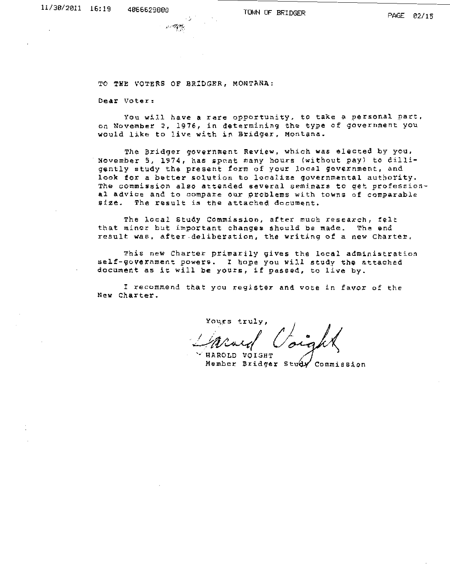TO THE VOTERS OF BRIDGER, MONTANA:

**Dear Voter:** 

**You will have a rare opportunity, to take a personal part, an November 2, 1976, in determining the type of government you**  would like to live with in Bridger, Montana.

The Bridger government Review, which was elected by you, November 5, 1974, has spent many hours (without pay) to dilligently study the present form of your local government, and look for a better solution to localize governmental authority. **The commission also attended several seminars to qet professional advice and to compare our problems with towns of comparable**  si2e. The result is the attached document.

The local Study Commission, after much research, felt that minor but important changes should be made. The end **result was, after.deliberation, the writing of a new Charter,** 

This new Charter primarily gives the local administration self-government powers. I hope you will study the attached document a5 it will be yours, if passed, to live by.

I recommend that you register and vote in favor of the New Charter.

~~~rs truly, *A) U!l/'<A-4'/ (/;,* 

HAROLD VOIGHT **Member Bridger Commission**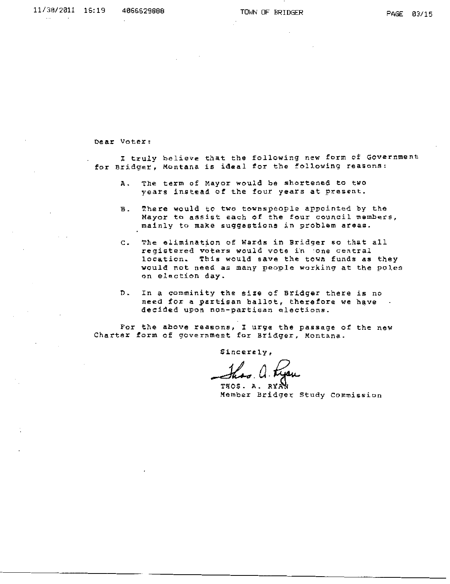Dear Voter:

I truly believe that the following new form of Government for Bridger, Montana is ideal for the following reasons:

- A. The term of Mayor would be shortened to two years instead of the four years at present.
- B. T.here would to two townspeople appointed by the **Mayor to assist each of the four council members,**  mainly to make suggestions in problem areas.
- c. The elimination of Wards in Bridger so that all registered voters would vote in cone central location. This would save the town funds as they would not need as many people working at the poles on election day.
- n. In a comminity the size of Bridger there *is* no need for a partisan ballot, therefore we have decided upon non-partisan elections.

For the above reasons, I urge the passage of the new **Charter form of government for Bridger, Montana.** 

Sincerely,

**Member Bridger Study Commission**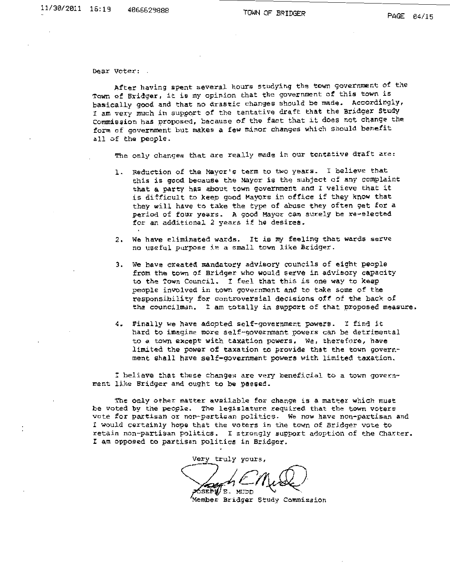Dear Voter:

After having spent several hours studying the town government of the Town of Bridger, it is my opinion that the government of this town is basically good and that no drastic changes should be made. Accordingly, I am very much in support of the tentative draft that the Bridger Study commission has proposed, because of the fact that it does not change the **form of government but makes a few minor changes which should benefit**  all of the people,

The only changes that are really made in our tentative draft are:

- **1. Reduction of the Mayor <sup>1</sup> S term to two years. I believe that**  this is good because the Mayor is the subject of any complaint that a party has about town government and I velieve that it is difficult to keep good Mayors in office if they know that they will have to take the type of abuse they often get for a **period of four years. A good Mayor can surely be** ~e-elected for an additional 2 years if he desires.
- 2. We have eliminated wards. It is my feeling that wards serve **no useful purpose in a small town like Bridger.**
- 3. We have created mandatory advisory councils of eight people from the town of Bridger who would serve in advisory capacity to the Town Council. I feel that this is one way to keep **people involved in town government and. to take some of the**  responsibility for controversial decisions off of the back of the councilman. I am totally in support of that proposed measure.
- 4. Finally we have adopted self-government powers. I find it **hard to imagine more** self~government **powers can be detrimental**  to *a.* town except with taxation powers. we, therefore, have limited the power of taxation to provide that the town government shall have self-government powers with limited taxation.

! **believe that these changes are very beneficial to a town** govern~ ment like Bridger and ought to be passed.

The only other matter available for change is a matter which must **be voted by the people. The legislature required that the town voters**  vote for partisan or non-partisan politics. We now have non-partisan and I would certainly hope that the voters in the town of Bridger vote to retain non-partisan politics. I strongly support adoption of the Charter. I am opposed to partisan politics in Bridger.

very truly yours,<br>
SEPTE MUDD<br>
Member Bridger Study Commission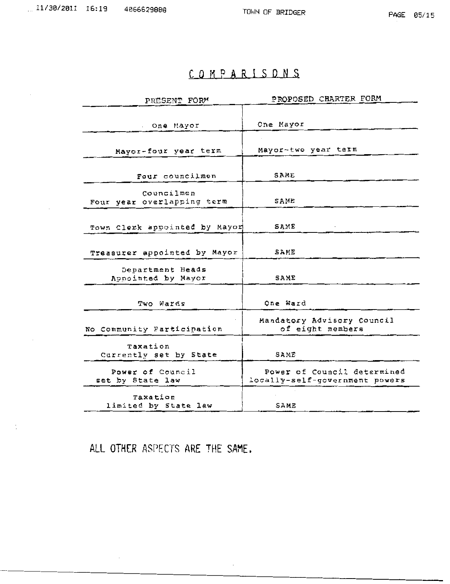## COMPARISONS

| PRESENT FORM                             | PROPOSED CHARTER FORM                                         |
|------------------------------------------|---------------------------------------------------------------|
| One Mayor                                | One Mayor                                                     |
| Mayor-four year term                     | Mayor-two year term                                           |
| Four councilmen                          | SAME                                                          |
| Councilmen<br>Four year overlapping term | SAME                                                          |
| Town Clerk appointed by Mayor            | SAME                                                          |
| Treasurer appointed by Mayor             | SAME                                                          |
| Department Heads<br>Appointed by Mayor   | SAME                                                          |
| Two Wards                                | One Ward                                                      |
| No Community Participation               | Mandatory Advisory Council<br>of eight members                |
| Taxation<br>Currently set by State       | SAME                                                          |
| Power of Council<br>set by State law     | Power of Council determined<br>locally-self-government powers |
| Taxation<br>limited by State law         | SAME                                                          |

 $\mathcal{L}_{\mathcal{A}}$ 

ALL OTHER ASPECTS ARE THE SAME.

÷,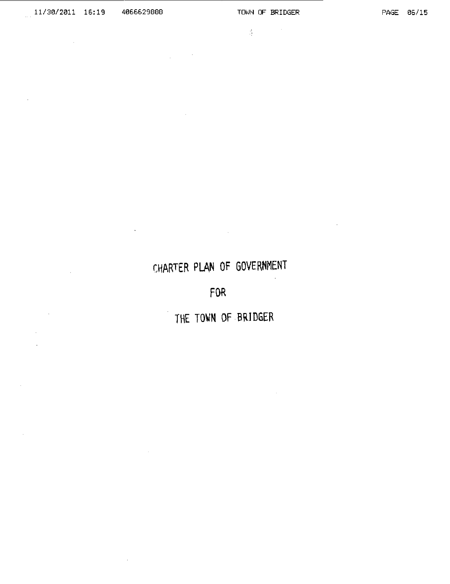$\sim$   $\sim$ 

 $\mathcal{A}^{\mathcal{A}}$ 

 $\sim$ 

 $\sim$ 

 $\sim$ 

 $\label{eq:2.1} \frac{\partial}{\partial x} \left( \frac{\partial}{\partial x} \right) = \frac{\partial}{\partial x} \left( \frac{\partial}{\partial x} \right)$ 

# CHARTER PLAN OF GOVERNMENT

 $\sim 10^{-1}$ 

 $\chi^2$  and  $\chi^2$ 

 $\sim$ 

**Contractor** 

 $\cdot$ 

FOR

THE TOWN OF BR1DGER

 $\sim$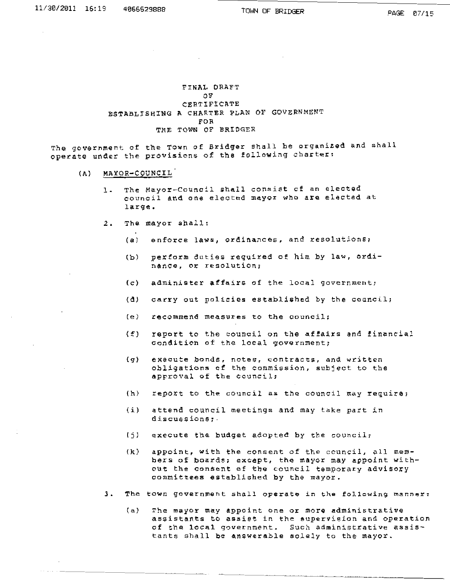### ~INAL OEAFT *ov*  CERTIFICATE ESTABLISHING A CHARTER PLAN OF GOVERNMENT FOR THE TOWN OF BRIDGER

The government of the Town of Bridger shall be organized and shall operate under the provisions of the following charter:

- (A) MAYOR-COUNCIL
	- 1. The Mayor-Council shall consist of an elected **council and one elected mayor who are elected at**  large.
	- 2. The mayor shall:
		- (a) enforce laws, ordinances, and resolutions;
		- (b) perform duties required of him by law, ordi**nance, or resolution;**
		- **(c) administer affairs of the local government;**
		- (d) carry out policies established by the council;
		- **(e) recommend measures to the council;**
		- (f) report to the council on the affairs and financial condition of the local government;
		- **{q) execute bonds, notes, contracts, ana written obligations of the commission, subject to the approval of the council;**
		- (h) report to the council as the council may require;
		- (i) attend council meetings and may take part in **discussions;.**
		- $(j)$  execute the budget adopted by the council;
		- (k) appoint, with the consent of the council, all members of boards; except, the mayor may appoint with**out the consent of the council temporary advisory**  committees established by the mayor.
	- ]. **The town government** shal~ **operate in the following** manner~
		- **(a) The mayor may appoint one or more administrative assistants to assist in the eupervision and operation of the local government. Such administrative assis**tants shall be answerable solely to the mayor.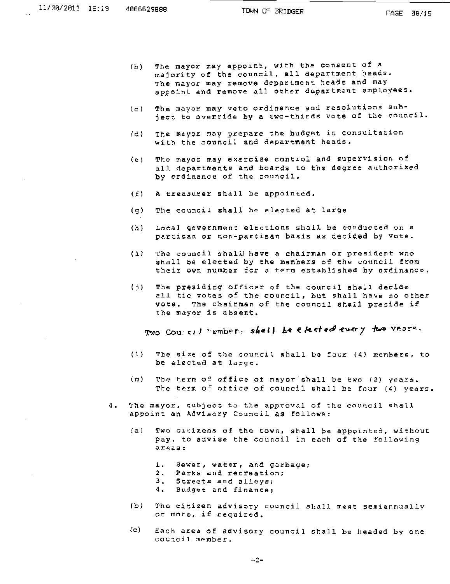- (b) The mayor may appoint, with the consent of a majority of the council, all department heads. The mayor may remove department heads and may appoint and remove all other department employees.
- (c) The mayor may veto ordinance and resolutions subject to override by a two-thirds vote of the council.
- (d) The mayor may prepare the budget in consultation with the council and department heads.
- (e) The mayor may exercise control and supervision of all departments and boards to the degree authorized by ordinance of the council.
- (£) A treasurer shall be appointed.
- (g) The council shall be elected at large
- (h) Local government elections shall be conducted on a partisan or non-partisan basis as decided by vote.
- $(i)$  The council shall) have a chairman or president who shall be elected by the members of the council from their own number for a term established by ordinance.
- (j) The presiding officer of the council shall decide all tie votes of the council, but shall have no other vote. The chairman of the council shall preside if the mayor is absent.

Two Coursell Members shall be elected every two vears.

- (1) The Gize of the council shall be four (4) members, to be elected at large.
- (m) The term of office of mayor shall be two (2) years. The term of office of council shall be four (4) years.
- **4. The mayor, subject to the approval of the council shall**  appoint an Advisory Council as follows:
	- **(a) Two citizens of the town, shall be appointed, without**  pay, to advise the council in each of the following **areas:** 
		- **1. Sewer, water, and garbage;**
		- 2. Parks and recreation;
		- 3. Streets and alleys;
		- **4. Budget and financa,**
	- **(b) The citizen advisory council 5hall meet semiannually or more, if required.**
	- (c) Each area of advisory council shall be headed by one **eouncil member.**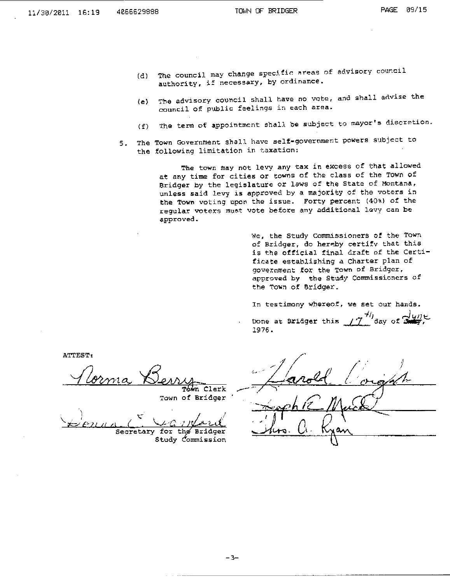- (d) The council may change specific areas of advisory council **authority, if necessary, by ordinance.**
- (e) The advisory council shall have no vote, and shall advise the council of public feelings in each area.
- (f) The term of appointment shall be subject to mayor's discration.
- **5. The Town Government shall have self-government powers subject to** the following limitation in taxation:

The town may not levy any tax in excess of that allowed at any time for cities or towns of the class of the Town of aridger by the legislature or laws of the State of Montana, unless said levy is approved by a majority of the voters in the Town voting upon the issue. Forty percent (40%) of the **regula:r voter.s mu\$t vote bef.o.r.e any add.i'l:.ional J.Gvy can be .approved.** 

> We, the Study Commissioners of the Town of Bridger, do hereby certify that this is the official. final draft of the certificate establishing a Charter plan of **government for the TOwn of Bridger, apvroved by the Study Commissioners of**  the Town of Bridger.

In testimony whereof, we set our hands.

pone at Sridger this  $\frac{7^{4i}}{2^{4i}}$  day of  $\frac{1}{2}$ 1976.

ATTEST:

ornia

Tówn Clerk Town of Bridger

 $\checkmark$ 

Secretary for the Bridger Study *Commission* 

| $\sqrt{2}$ |
|------------|
| $schE$ M   |
| U -<br>١   |
|            |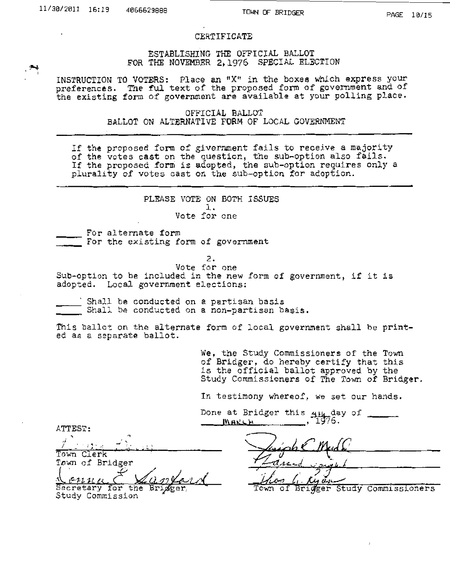PAGE 10/15

### CERTIFICATE

ESTABLISHING THE OFFICIAL BALLOT FOR THE NOVEMBER 2,1976 SPECIAL ELECTION

INSTRUCTION TO VOTERS: Place an "X" in the boxes which express your preferences. The ful text of the proposed form of government and of the existing form of government are available at your polling place.

> OFFICIAL BALLOT BALLOT ON ALTERNATIVE FORM OF LOCAL GOVERNMENT

If the proposed form of givernment fails to receive a majority of the votes cast on the question, the sub-option also fails. If the proposed form is adopted, the sub-option requires only a plurality of votes cast on the sub-option for adoption.

> PLEASE VOTE ON BOTH ISSUES l. Vote for one

For alternate form<br>For the existing form of government

2.

Vote for one Sub-option to be included in the new form of government, if it is adopted. Local government elections;

. Shall be conducted on a partisan basis Shall be conducted on a non-partisan basis.

This ballot on the alternate form of local government shall be print-<br>ed as a separate ballot.

We, the Study Commissioners of the Town of Bridger, do hereby certify that this of Eitinger, do hereby centry that this Study Commissioners of The Town of Bridger.

In testimony whereof, we set our hands.

Done at Bridger this 4H4 day of **MARCH** 1976.

ATTEST:

' ~l - "\ I \_· . : ~ ' . \_\_ . , ..... , Town Clerk Town of Bridger  $\sim$  022

Secretary for the Study Commission

Study Commissioners οf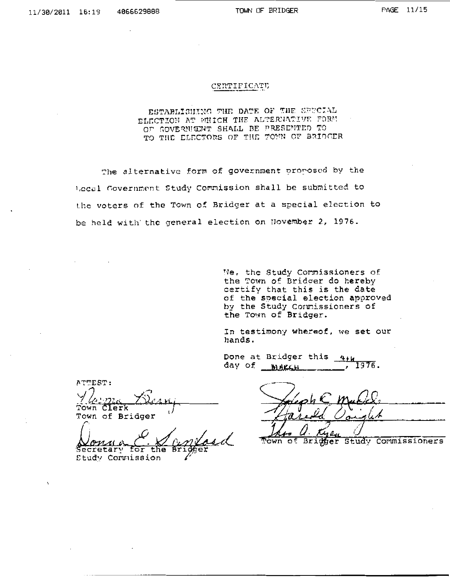#### CERTIFICATE

### ESTABLISHING THE DATE OF THE SEFOLAL ELECTION AT WHICH THE ALTERNATIVE FORM OF GOVERNICHT SHALL BE PRESENTED TO TO THE ELECTORS OF THE TOWN OF BRIDGER

The alternative form of government proposed by the Local Covernment Study Commission shall be submitted to the voters of the Town of Bridger at a special election to be held with' the general election on November 2, 1976.

> We, the Study Cormissioners of the Town of Bridger do hereby certify that this is the date of the soecial election approved by the Study Connissioners of the Town of Bridger.

> In testimony whereof, we set our hands.

Done at Bridger this  $4+u$ day of ~ \_\_\_ , 1976.

 $\wedge$  TTEST: ."{~ m,i *i£.(A* •·i'l Town Clerk *1* ' Town of Bridger

Monua C. W C Masdel Town of Bridger Study Commissioners

 *Corruission*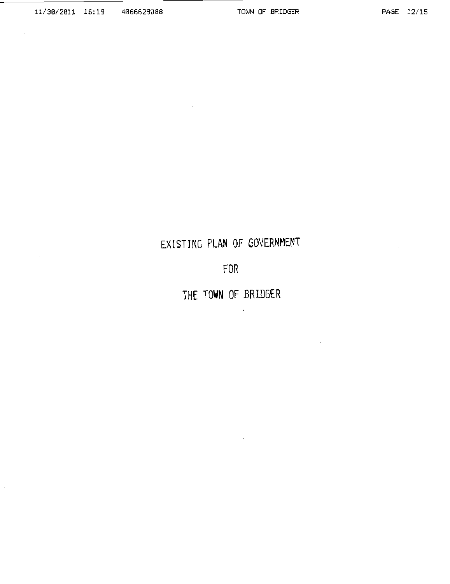$\cdot$ 

# EXISTING **PLAN** OF GOVERNMENT

FOR

**THE TOWN** OF BRIDGER

 $\ddot{\phantom{0}}$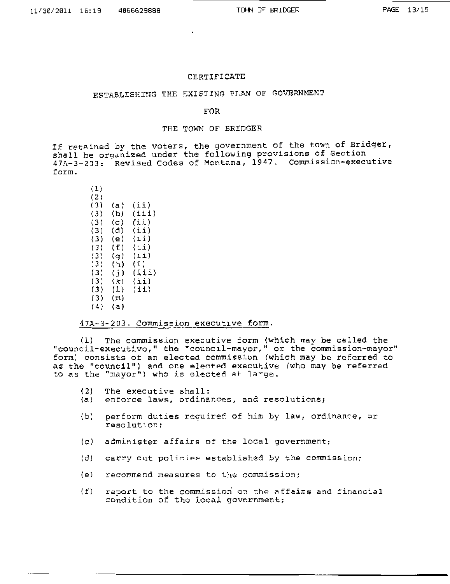#### CERTIFICATE

### ESTABLISHING THE EXISTING PLAN OF GOVERNMENT

### FOR

### THE TOWN OF BRIDGER

If retained by the voters, the government of the town of Bridger, shall be orqanized under the following provisions of Section 47A-3-203: Revised Codes of Montana, 1947. Commission-executive form.

### $(1)$ ( 2) (3) (a) (ii) (3) (b)  $(iii)$ (3) (c)  $(i)$  $(3)$   $(d)$   $(ii)$  $(3)$  (e)  $(ii)$ (3) (f)  $(i)$ (3) (g) (ii)  $(3)$   $(h)$   $(i)$ (3) (j) (iii)<br>(3) (k) (ii)  $(3)$   $(k)$   $(ii)$  $(3)$   $(1)$   $(1)$  $(3)$   $(m)$ (4) (a)

47A-3-203. Commission \_executive form.

(1) The commission executive form (which may be called the "council-executive," the "council-mayor," or the commission-mayor" form) consists of an elected commission (which may be referred to as the ''council") and one elected executive (who may be referred to as the "mayor") who is elected at large.

- (2) The executive shall:<br>(a) enforce laws, ordina
- enforce laws, ordinances, and resolutions;
- (b) perform duties required of him by law, ordinance, or resolution;
- (c) administer affairs of the local government;
- (d) carry out policies established by the commission;
- (e) recommend measures to the commission;
- $(f)$  report to the commission on the affairs and financial condition of the local government;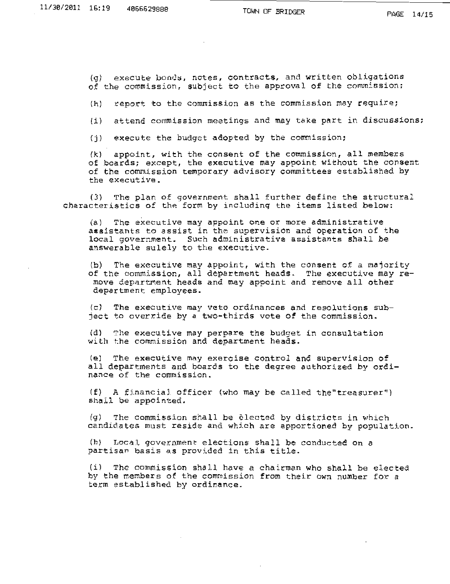$(q)$  execute bonds, notes, contracts, and written obligations of the commission, subject to the approval of the commission;

 $(h)$  report to the commission as the commission may require;

 $(i)$  attend commission meetings and may take part in discussions;

(j) execute the budget adopted by the commission;

(k) appoint, with the consent of the commission, all members of boards; except, the executive may appoint without the consent of the commission temporary advisory committees established by the executive.

(3) The plan of government shall further define the structural characteristics of the form by including the items listed below:

(a) The executive may appoint one or more administrative assistants to assist in the supervision and operation of the local government. Such administrative assistants shall be answerable sulely to the executive.

(b) The executive may appoint, with the consent of a majority of the executive may appoint, with the consent of a majority of the commission, all department heads. The executive may remove department heads and may appoint and remove all other department employees.

(c) The executive may veto ordinances and resolutions subject to override by a two-thirds vote of the commission.

(d) The execu.tive may perpare the budget in consultation with the commission and department heads.

(e) The executive may exercise control and supervision of all departments and boards to the degree authorized by ordinance of the commission.

 $I(f)$  A financial officer (who may be called the "treasurer") shall be appointed.

(g) The commission shall be elected by districts in which candidates must reside and which are apportioned by population.

(h) Local government elections shall be conducted on a partisan basis as provided in this title.

(i) The commission shall have a chairman who shall be elected by the members of the commission from their own number for a term established by ordinance.